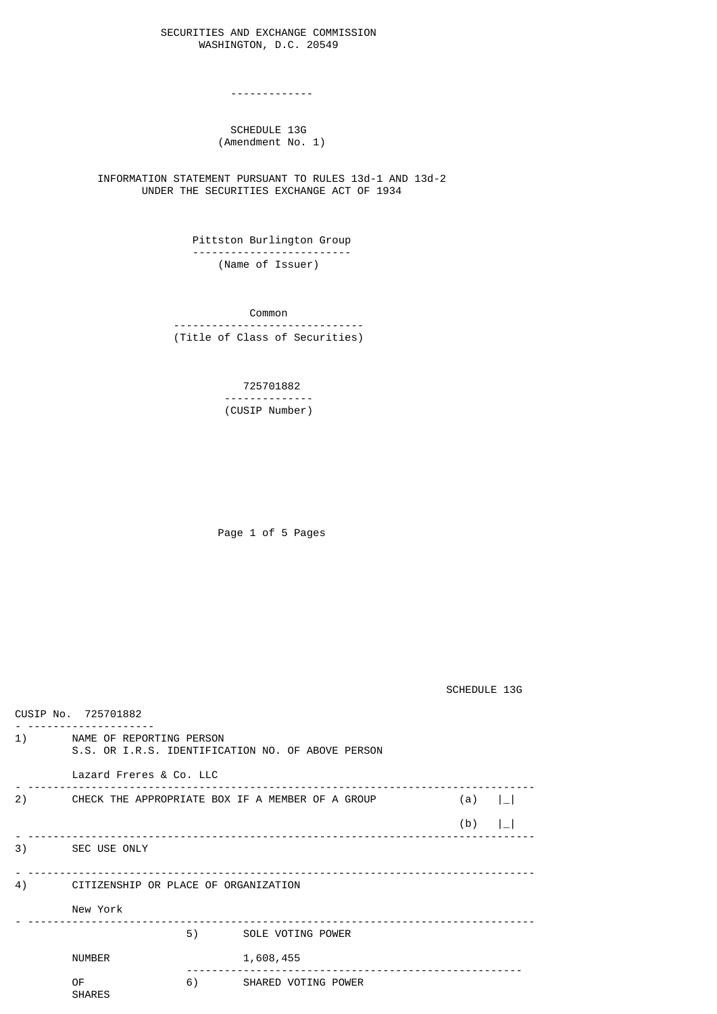## SECURITIES AND EXCHANGE COMMISSION WASHINGTON, D.C. 20549

-------------

## SCHEDULE 13G (Amendment No. 1)

 INFORMATION STATEMENT PURSUANT TO RULES 13d-1 AND 13d-2 UNDER THE SECURITIES EXCHANGE ACT OF 1934

> Pittston Burlington Group ------------------------- (Name of Issuer)

 Common ------------------------------ (Title of Class of Securities)

> 725701882 -------------- (CUSIP Number)

Page 1 of 5 Pages

SCHEDULE 13G

| CUSIP No. 725701882 |                                                                                                             |    |                      |       |  |  |  |
|---------------------|-------------------------------------------------------------------------------------------------------------|----|----------------------|-------|--|--|--|
|                     | 1) NAME OF REPORTING PERSON<br>S.S. OR I.R.S. IDENTIFICATION NO. OF ABOVE PERSON<br>Lazard Freres & Co. LLC |    |                      |       |  |  |  |
|                     |                                                                                                             |    |                      |       |  |  |  |
| 2)                  | CHECK THE APPROPRIATE BOX IF A MEMBER OF A GROUP<br>(a) $  \_  $                                            |    |                      |       |  |  |  |
|                     |                                                                                                             |    |                      | $(b)$ |  |  |  |
|                     | 3) SEC USE ONLY                                                                                             |    |                      |       |  |  |  |
| 4)                  | CITIZENSHIP OR PLACE OF ORGANIZATION                                                                        |    |                      |       |  |  |  |
|                     | New York                                                                                                    |    |                      |       |  |  |  |
|                     |                                                                                                             |    | 5) SOLE VOTING POWER |       |  |  |  |
|                     | <b>NUMBER</b>                                                                                               |    | 1,608,455            |       |  |  |  |
|                     | 0F<br><b>SHARES</b>                                                                                         | 6) | SHARED VOTING POWER  |       |  |  |  |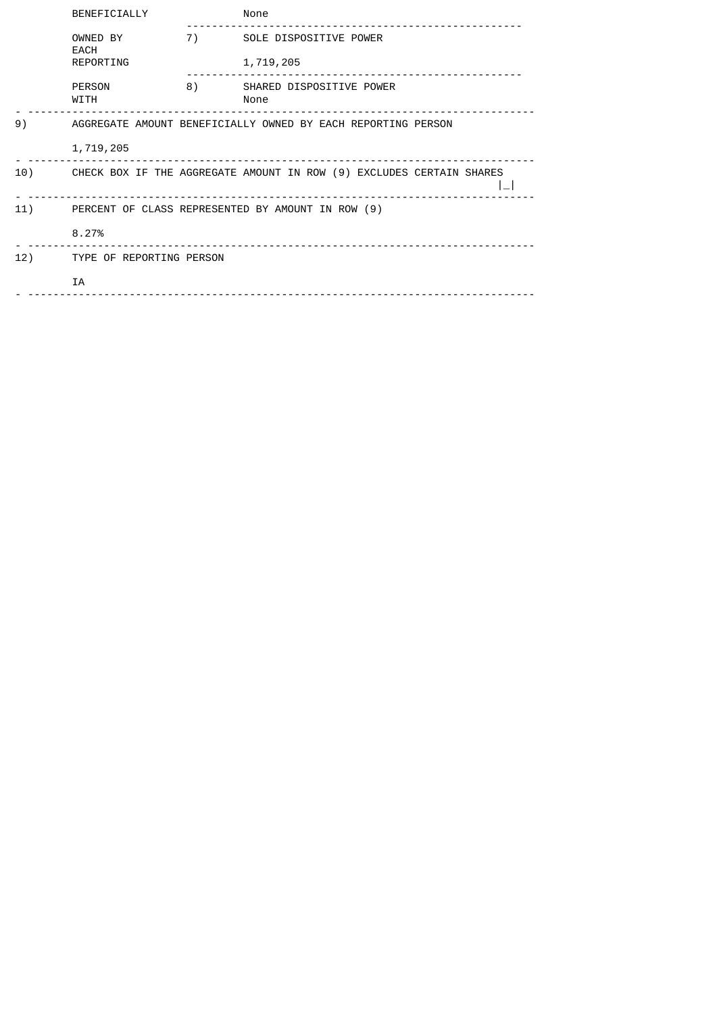|     | BENEFICIALLY                                                 |    | None                                                                 |  |  |
|-----|--------------------------------------------------------------|----|----------------------------------------------------------------------|--|--|
|     | OWNED BY<br>EACH                                             | 7) | SOLE DISPOSITIVE POWER                                               |  |  |
|     | REPORTING                                                    |    | 1,719,205                                                            |  |  |
|     | PERSON<br>WITH                                               | 8) | SHARED DISPOSITIVE POWER<br>None                                     |  |  |
| 9)  | AGGREGATE AMOUNT BENEFICIALLY OWNED BY EACH REPORTING PERSON |    |                                                                      |  |  |
|     | 1,719,205                                                    |    |                                                                      |  |  |
| 10) |                                                              |    | CHECK BOX IF THE AGGREGATE AMOUNT IN ROW (9) EXCLUDES CERTAIN SHARES |  |  |
| 11) | PERCENT OF CLASS REPRESENTED BY AMOUNT IN ROW (9)            |    |                                                                      |  |  |
|     | 8.27%                                                        |    |                                                                      |  |  |
| 12) | TYPE OF REPORTING PERSON                                     |    |                                                                      |  |  |
|     | <b>IA</b>                                                    |    |                                                                      |  |  |
|     |                                                              |    |                                                                      |  |  |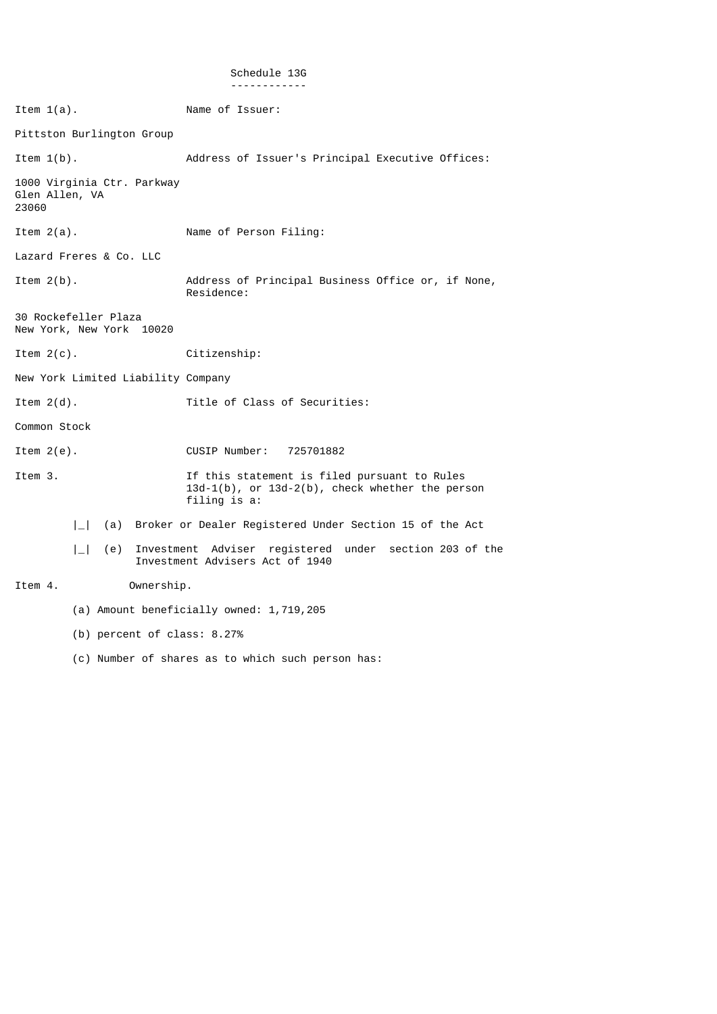## Schedule 13G ------------

Item 1(a). Name of Issuer: Pittston Burlington Group Item 1(b). Address of Issuer's Principal Executive Offices: 1000 Virginia Ctr. Parkway Glen Allen, VA 23060 Item 2(a). Name of Person Filing: Lazard Freres & Co. LLC Item 2(b). Address of Principal Business Office or, if None, Residence: 30 Rockefeller Plaza New York, New York 10020 Item 2(c). Citizenship: New York Limited Liability Company Item 2(d). Title of Class of Securities: Common Stock Item 2(e). CUSIP Number: 725701882 Item 3. If this statement is filed pursuant to Rules 13d-1(b), or 13d-2(b), check whether the person filing is a: |\_| (a) Broker or Dealer Registered Under Section 15 of the Act |\_| (e) Investment Adviser registered under section 203 of the Investment Advisers Act of 1940 Item 4. Ownership. (a) Amount beneficially owned: 1,719,205 (b) percent of class: 8.27% (c) Number of shares as to which such person has: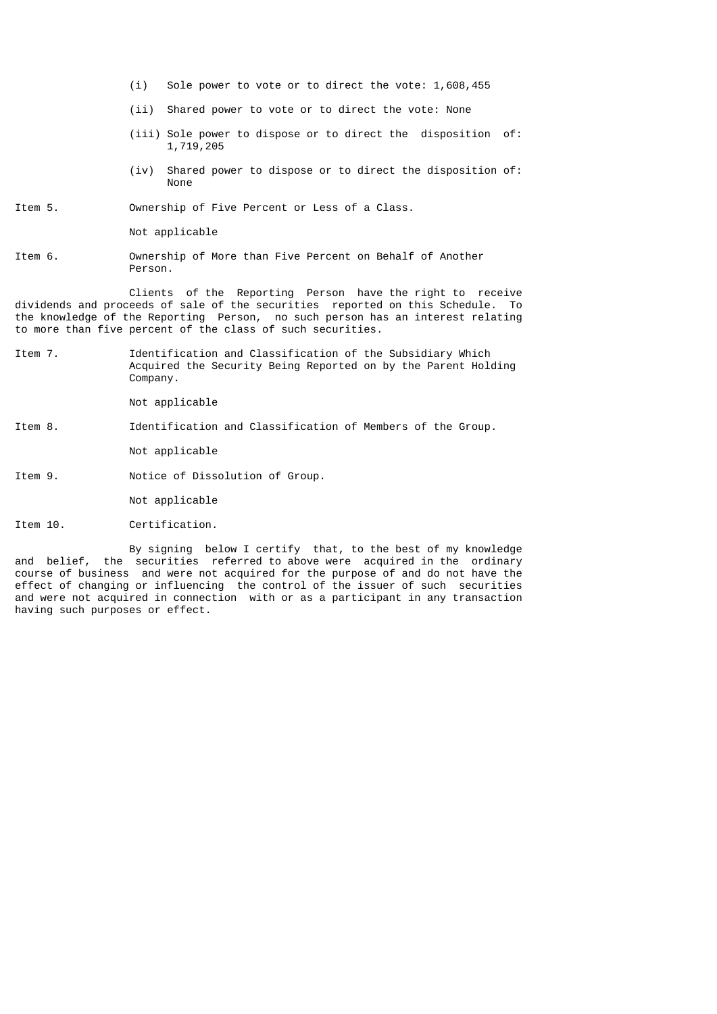- (i) Sole power to vote or to direct the vote: 1,608,455
- (ii) Shared power to vote or to direct the vote: None
- (iii) Sole power to dispose or to direct the disposition of: 1,719,205
- (iv) Shared power to dispose or to direct the disposition of: **None None**

Item 5. Ownership of Five Percent or Less of a Class.

Not applicable

Item 6. Ownership of More than Five Percent on Behalf of Another Person.

 Clients of the Reporting Person have the right to receive dividends and proceeds of sale of the securities reported on this Schedule. To the knowledge of the Reporting Person, no such person has an interest relating to more than five percent of the class of such securities.

Item 7. Identification and Classification of the Subsidiary Which Acquired the Security Being Reported on by the Parent Holding Company.

Not applicable

Item 8. Identification and Classification of Members of the Group.

Not applicable

Item 9. Notice of Dissolution of Group.

Not applicable

Item 10. Certification.

 By signing below I certify that, to the best of my knowledge and belief, the securities referred to above were acquired in the ordinary course of business and were not acquired for the purpose of and do not have the effect of changing or influencing the control of the issuer of such securities and were not acquired in connection with or as a participant in any transaction having such purposes or effect.